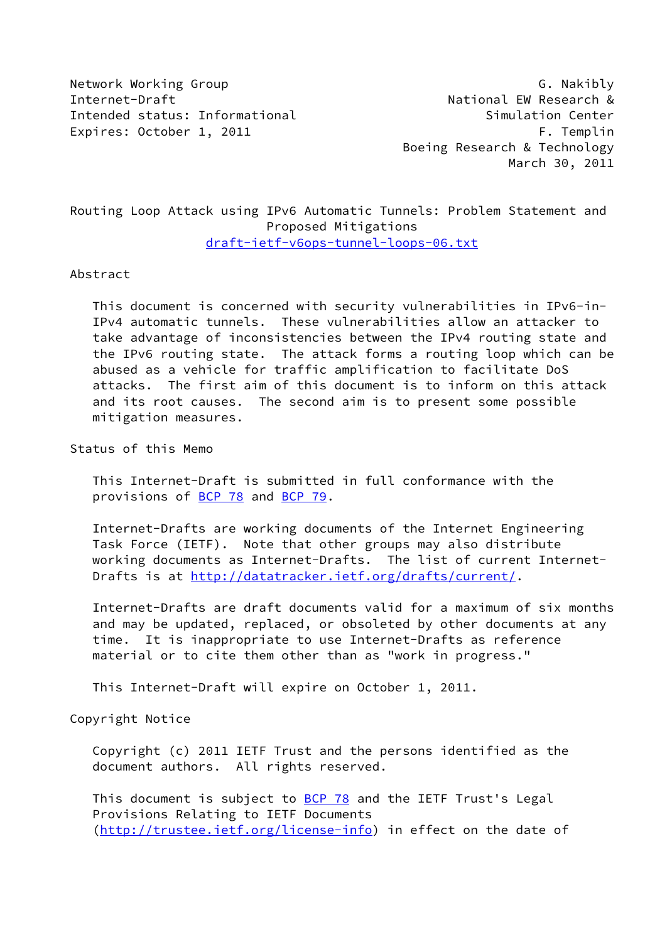Network Working Group Group G. Nakibly Internet-Draft **National EW Research &** Intended status: Informational Simulation Center Expires: October 1, 2011 Contract Contract Contract Contract Contract Contract Contract Contract Contract Contract Contract Contract Contract Contract Contract Contract Contract Contract Contract Contract Contract Contract

 Boeing Research & Technology March 30, 2011

# Routing Loop Attack using IPv6 Automatic Tunnels: Problem Statement and Proposed Mitigations [draft-ietf-v6ops-tunnel-loops-06.txt](https://datatracker.ietf.org/doc/pdf/draft-ietf-v6ops-tunnel-loops-06.txt)

#### Abstract

 This document is concerned with security vulnerabilities in IPv6-in- IPv4 automatic tunnels. These vulnerabilities allow an attacker to take advantage of inconsistencies between the IPv4 routing state and the IPv6 routing state. The attack forms a routing loop which can be abused as a vehicle for traffic amplification to facilitate DoS attacks. The first aim of this document is to inform on this attack and its root causes. The second aim is to present some possible mitigation measures.

Status of this Memo

 This Internet-Draft is submitted in full conformance with the provisions of [BCP 78](https://datatracker.ietf.org/doc/pdf/bcp78) and [BCP 79](https://datatracker.ietf.org/doc/pdf/bcp79).

 Internet-Drafts are working documents of the Internet Engineering Task Force (IETF). Note that other groups may also distribute working documents as Internet-Drafts. The list of current Internet- Drafts is at<http://datatracker.ietf.org/drafts/current/>.

 Internet-Drafts are draft documents valid for a maximum of six months and may be updated, replaced, or obsoleted by other documents at any time. It is inappropriate to use Internet-Drafts as reference material or to cite them other than as "work in progress."

This Internet-Draft will expire on October 1, 2011.

Copyright Notice

 Copyright (c) 2011 IETF Trust and the persons identified as the document authors. All rights reserved.

This document is subject to **[BCP 78](https://datatracker.ietf.org/doc/pdf/bcp78)** and the IETF Trust's Legal Provisions Relating to IETF Documents [\(http://trustee.ietf.org/license-info](http://trustee.ietf.org/license-info)) in effect on the date of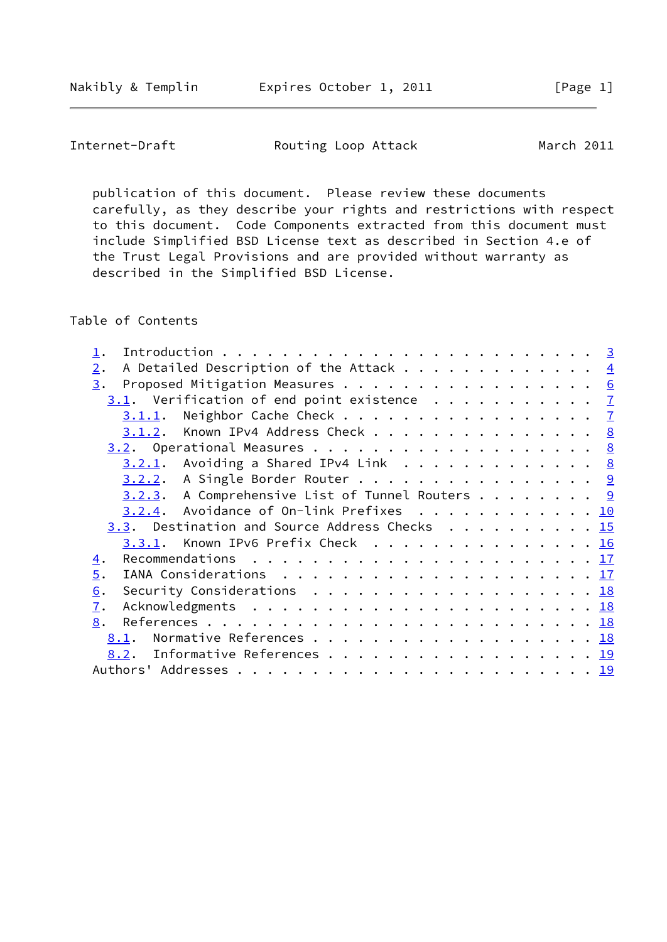Nakibly & Templin Expires October 1, 2011 [Page 1]

Internet-Draft **Routing Loop Attack** March 2011

 publication of this document. Please review these documents carefully, as they describe your rights and restrictions with respect to this document. Code Components extracted from this document must include Simplified BSD License text as described in Section 4.e of the Trust Legal Provisions and are provided without warranty as described in the Simplified BSD License.

Table of Contents

| A Detailed Description of the Attack $\cdots$ 4<br>2.                                          |  |
|------------------------------------------------------------------------------------------------|--|
| Proposed Mitigation Measures 6<br>3.                                                           |  |
| $3.1$ . Verification of end point existence $\frac{7}{2}$                                      |  |
| Neighbor Cache Check $\frac{7}{2}$<br>3.1.1.                                                   |  |
| $3.1.2$ . Known IPv4 Address Check 8                                                           |  |
|                                                                                                |  |
| $3.2.1$ . Avoiding a Shared IPv4 Link 8                                                        |  |
| $3.2.2.$ A Single Border Router 9                                                              |  |
| $3.2.3$ . A Comprehensive List of Tunnel Routers 9                                             |  |
| $3.2.4$ . Avoidance of On-link Prefixes 10                                                     |  |
| $3.3.$ Destination and Source Address Checks 15                                                |  |
| Known IPv6 Prefix Check 16<br>3.3.1.                                                           |  |
| 4.                                                                                             |  |
| $\overline{5}$ .                                                                               |  |
| Security Considerations $\ldots \ldots \ldots \ldots \ldots \ldots \ldots \frac{18}{18}$<br>6. |  |
| $\overline{1}$ .                                                                               |  |
| 8.                                                                                             |  |
| Normative References 18<br>8.1.                                                                |  |
| Informative References 19<br>8.2.                                                              |  |
|                                                                                                |  |
|                                                                                                |  |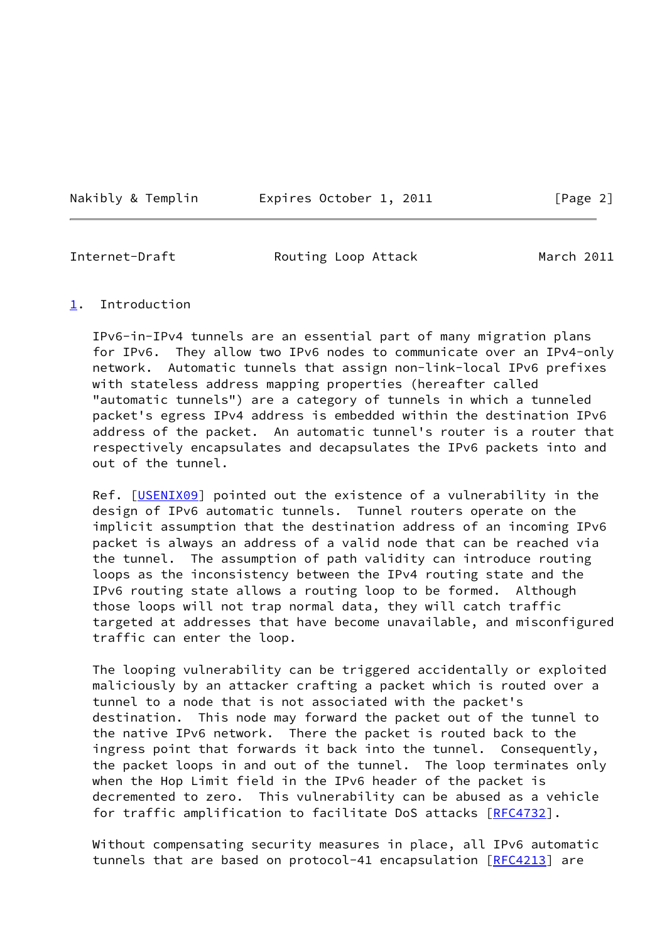Nakibly & Templin **Expires October 1, 2011** [Page 2]

<span id="page-2-1"></span>

Internet-Draft **Routing Loop Attack** March 2011

#### <span id="page-2-0"></span>[1](#page-2-0). Introduction

 IPv6-in-IPv4 tunnels are an essential part of many migration plans for IPv6. They allow two IPv6 nodes to communicate over an IPv4-only network. Automatic tunnels that assign non-link-local IPv6 prefixes with stateless address mapping properties (hereafter called "automatic tunnels") are a category of tunnels in which a tunneled packet's egress IPv4 address is embedded within the destination IPv6 address of the packet. An automatic tunnel's router is a router that respectively encapsulates and decapsulates the IPv6 packets into and out of the tunnel.

Ref. [\[USENIX09](#page-20-2)] pointed out the existence of a vulnerability in the design of IPv6 automatic tunnels. Tunnel routers operate on the implicit assumption that the destination address of an incoming IPv6 packet is always an address of a valid node that can be reached via the tunnel. The assumption of path validity can introduce routing loops as the inconsistency between the IPv4 routing state and the IPv6 routing state allows a routing loop to be formed. Although those loops will not trap normal data, they will catch traffic targeted at addresses that have become unavailable, and misconfigured traffic can enter the loop.

 The looping vulnerability can be triggered accidentally or exploited maliciously by an attacker crafting a packet which is routed over a tunnel to a node that is not associated with the packet's destination. This node may forward the packet out of the tunnel to the native IPv6 network. There the packet is routed back to the ingress point that forwards it back into the tunnel. Consequently, the packet loops in and out of the tunnel. The loop terminates only when the Hop Limit field in the IPv6 header of the packet is decremented to zero. This vulnerability can be abused as a vehicle for traffic amplification to facilitate DoS attacks [\[RFC4732](https://datatracker.ietf.org/doc/pdf/rfc4732)].

 Without compensating security measures in place, all IPv6 automatic tunnels that are based on protocol-41 encapsulation [\[RFC4213](https://datatracker.ietf.org/doc/pdf/rfc4213)] are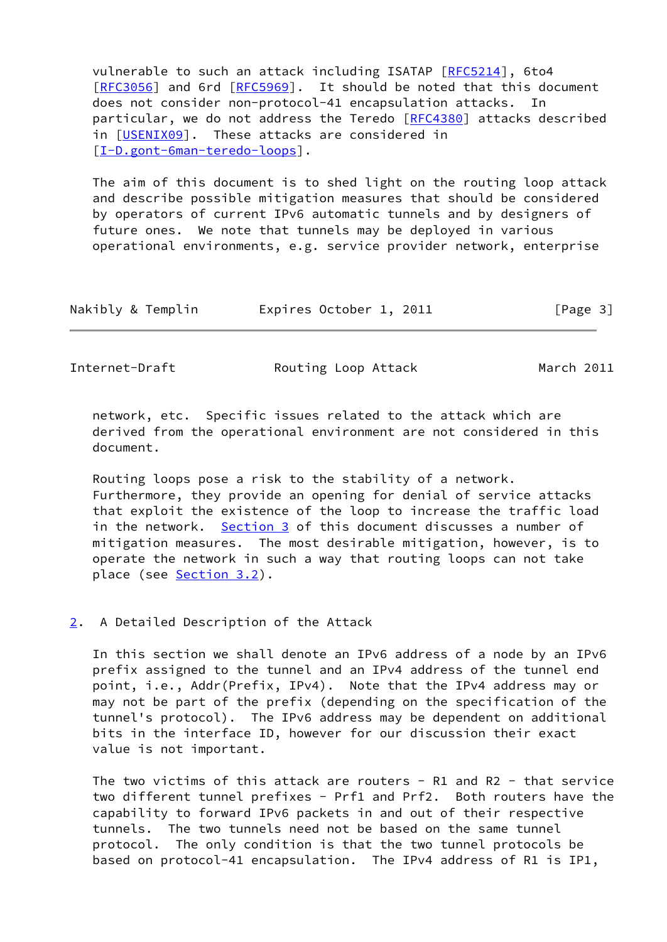vulnerable to such an attack including ISATAP [[RFC5214](https://datatracker.ietf.org/doc/pdf/rfc5214)], 6to4 [\[RFC3056](https://datatracker.ietf.org/doc/pdf/rfc3056)] and 6rd [[RFC5969](https://datatracker.ietf.org/doc/pdf/rfc5969)]. It should be noted that this document does not consider non-protocol-41 encapsulation attacks. In particular, we do not address the Teredo [\[RFC4380](https://datatracker.ietf.org/doc/pdf/rfc4380)] attacks described in [[USENIX09\]](#page-20-2). These attacks are considered in [\[I-D.gont-6man-teredo-loops\]](#page-20-3).

 The aim of this document is to shed light on the routing loop attack and describe possible mitigation measures that should be considered by operators of current IPv6 automatic tunnels and by designers of future ones. We note that tunnels may be deployed in various operational environments, e.g. service provider network, enterprise

| Nakibly & Templin<br>Expires October 1, 2011 |  | [Page 3] |
|----------------------------------------------|--|----------|
|----------------------------------------------|--|----------|

<span id="page-3-1"></span>Internet-Draft **Routing Loop Attack** March 2011

 network, etc. Specific issues related to the attack which are derived from the operational environment are not considered in this document.

 Routing loops pose a risk to the stability of a network. Furthermore, they provide an opening for denial of service attacks that exploit the existence of the loop to increase the traffic load in the network. [Section 3](#page-6-0) of this document discusses a number of mitigation measures. The most desirable mitigation, however, is to operate the network in such a way that routing loops can not take place (see [Section 3.2](#page-8-0)).

### <span id="page-3-0"></span>[2](#page-3-0). A Detailed Description of the Attack

 In this section we shall denote an IPv6 address of a node by an IPv6 prefix assigned to the tunnel and an IPv4 address of the tunnel end point, i.e., Addr(Prefix, IPv4). Note that the IPv4 address may or may not be part of the prefix (depending on the specification of the tunnel's protocol). The IPv6 address may be dependent on additional bits in the interface ID, however for our discussion their exact value is not important.

The two victims of this attack are routers - R1 and R2 - that service two different tunnel prefixes - Prf1 and Prf2. Both routers have the capability to forward IPv6 packets in and out of their respective tunnels. The two tunnels need not be based on the same tunnel protocol. The only condition is that the two tunnel protocols be based on protocol-41 encapsulation. The IPv4 address of R1 is IP1,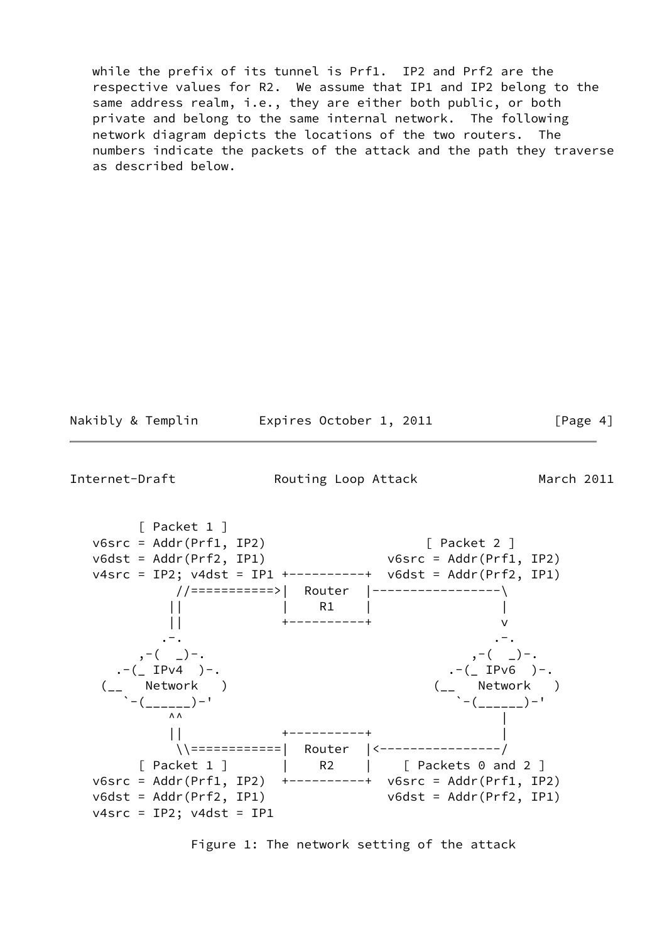while the prefix of its tunnel is Prf1. IP2 and Prf2 are the respective values for R2. We assume that IP1 and IP2 belong to the same address realm, i.e., they are either both public, or both private and belong to the same internal network. The following network diagram depicts the locations of the two routers. The numbers indicate the packets of the attack and the path they traverse as described below.

Nakibly & Templin **Expires October 1, 2011** [Page 4]

Internet-Draft **Routing Loop Attack** March 2011

 [ Packet 1 ] v6src = Addr(Prf1, IP2) [ Packet 2 ] v6dst = Addr(Prf2, IP1) v6src = Addr(Prf1, IP2) v4src = IP2; v4dst = IP1 +----------+ v6dst = Addr(Prf2, IP1) //===========>| Router |-----------------\ || | R1 | | || +----------+ v . The contract of the contract of the contract of the contract of the contract of the contract of the contract of the contract of the contract of the contract of the contract of the contract of the contract of the contrac ,-( \_)-.<br>(\_ IPv4 )-. ,-( \_ IPv6 )-. .-(\_ IPv4 )-. .-(\_ IPv6 )-. (\_\_ Network ) (\_\_ Network ) `-(\_\_\_\_\_\_)-' `-(\_\_\_\_\_\_)-'  $\Lambda \Lambda$  || +----------+ | \\============| Router |<----------------/ [ Packet 1 ] | R2 | [ Packets 0 and 2 ] v6src = Addr(Prf1, IP2) +----------+ v6src = Addr(Prf1, IP2)  $v6dst = Addr(Prf2, IP1)$ v4src = IP2; v4dst = IP1

Figure 1: The network setting of the attack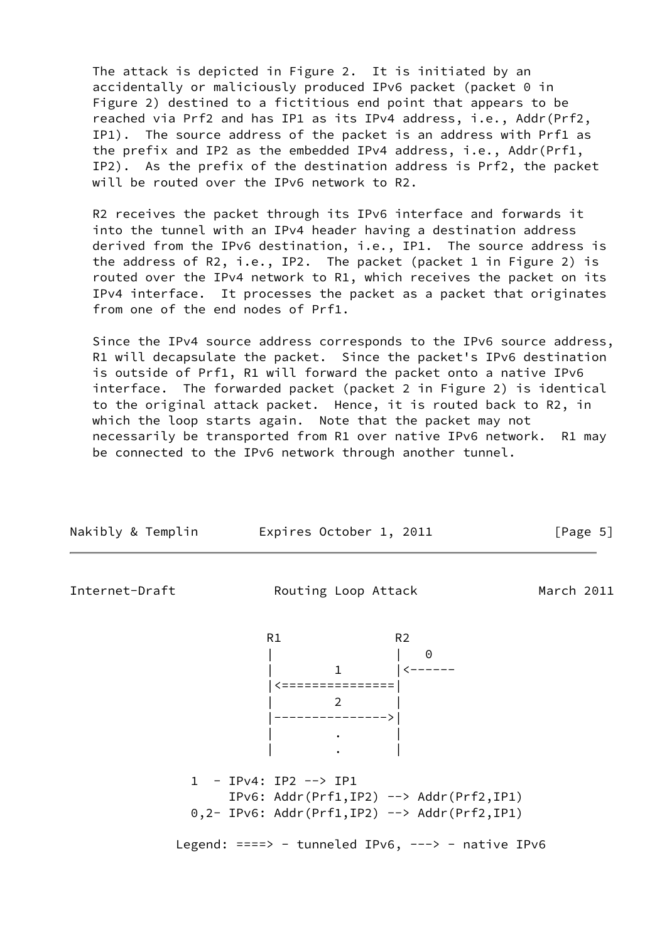The attack is depicted in Figure 2. It is initiated by an accidentally or maliciously produced IPv6 packet (packet 0 in Figure 2) destined to a fictitious end point that appears to be reached via Prf2 and has IP1 as its IPv4 address, i.e., Addr(Prf2, IP1). The source address of the packet is an address with Prf1 as the prefix and IP2 as the embedded IPv4 address, i.e., Addr(Prf1, IP2). As the prefix of the destination address is Prf2, the packet will be routed over the IPv6 network to R2.

 R2 receives the packet through its IPv6 interface and forwards it into the tunnel with an IPv4 header having a destination address derived from the IPv6 destination, i.e., IP1. The source address is the address of R2, i.e., IP2. The packet (packet 1 in Figure 2) is routed over the IPv4 network to R1, which receives the packet on its IPv4 interface. It processes the packet as a packet that originates from one of the end nodes of Prf1.

 Since the IPv4 source address corresponds to the IPv6 source address, R1 will decapsulate the packet. Since the packet's IPv6 destination is outside of Prf1, R1 will forward the packet onto a native IPv6 interface. The forwarded packet (packet 2 in Figure 2) is identical to the original attack packet. Hence, it is routed back to R2, in which the loop starts again. Note that the packet may not necessarily be transported from R1 over native IPv6 network. R1 may be connected to the IPv6 network through another tunnel.

<span id="page-5-0"></span>

| Nakibly & Templin | Expires October 1, 2011                                                                                                                                                                 | [Page 5]   |
|-------------------|-----------------------------------------------------------------------------------------------------------------------------------------------------------------------------------------|------------|
| Internet-Draft    | Routing Loop Attack                                                                                                                                                                     | March 2011 |
|                   | R <sub>2</sub><br>R1<br>$\frac{1}{1}$ $\left  \left  \left  \left  \right  \right  \right  \right $<br>$\overline{2}$<br>$\mathcal{L}^{\text{max}}$ . The $\mathcal{L}^{\text{max}}$    |            |
|                   | 1 - IPv4: IP2 --> IP1<br>$IPv6: Addr(Prf1, IP2) \rightarrow Addr(Prf2, IP1)$<br>$0,2$ - IPv6: Addr(Prf1,IP2) --> Addr(Prf2,IP1)<br>Legend: $==-> -$ tunneled IPv6, $---> -$ native IPv6 |            |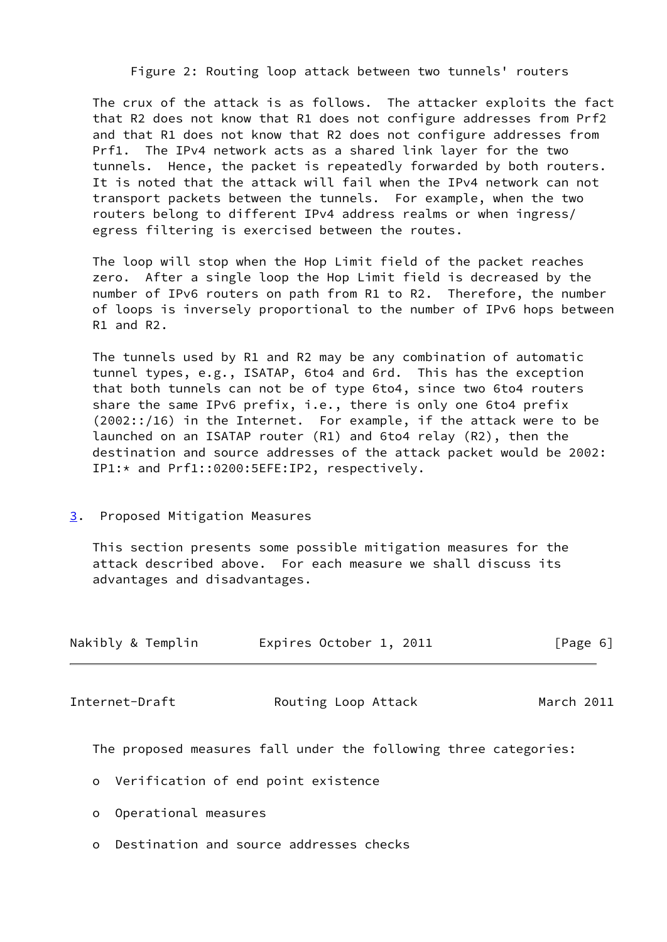Figure 2: Routing loop attack between two tunnels' routers

 The crux of the attack is as follows. The attacker exploits the fact that R2 does not know that R1 does not configure addresses from Prf2 and that R1 does not know that R2 does not configure addresses from Prf1. The IPv4 network acts as a shared link layer for the two tunnels. Hence, the packet is repeatedly forwarded by both routers. It is noted that the attack will fail when the IPv4 network can not transport packets between the tunnels. For example, when the two routers belong to different IPv4 address realms or when ingress/ egress filtering is exercised between the routes.

 The loop will stop when the Hop Limit field of the packet reaches zero. After a single loop the Hop Limit field is decreased by the number of IPv6 routers on path from R1 to R2. Therefore, the number of loops is inversely proportional to the number of IPv6 hops between R1 and R2.

 The tunnels used by R1 and R2 may be any combination of automatic tunnel types, e.g., ISATAP, 6to4 and 6rd. This has the exception that both tunnels can not be of type 6to4, since two 6to4 routers share the same IPv6 prefix, i.e., there is only one 6to4 prefix (2002::/16) in the Internet. For example, if the attack were to be launched on an ISATAP router (R1) and 6to4 relay (R2), then the destination and source addresses of the attack packet would be 2002: IP1:\* and Prf1::0200:5EFE:IP2, respectively.

### <span id="page-6-0"></span>[3](#page-6-0). Proposed Mitigation Measures

 This section presents some possible mitigation measures for the attack described above. For each measure we shall discuss its advantages and disadvantages.

<span id="page-6-1"></span>

| Nakibly & Templin | Expires October 1, 2011                                          | [Page 6]   |
|-------------------|------------------------------------------------------------------|------------|
| Internet-Draft    | Routing Loop Attack                                              | March 2011 |
|                   | The proposed measures fall under the following three categories: |            |

- o Verification of end point existence
- o Operational measures
- o Destination and source addresses checks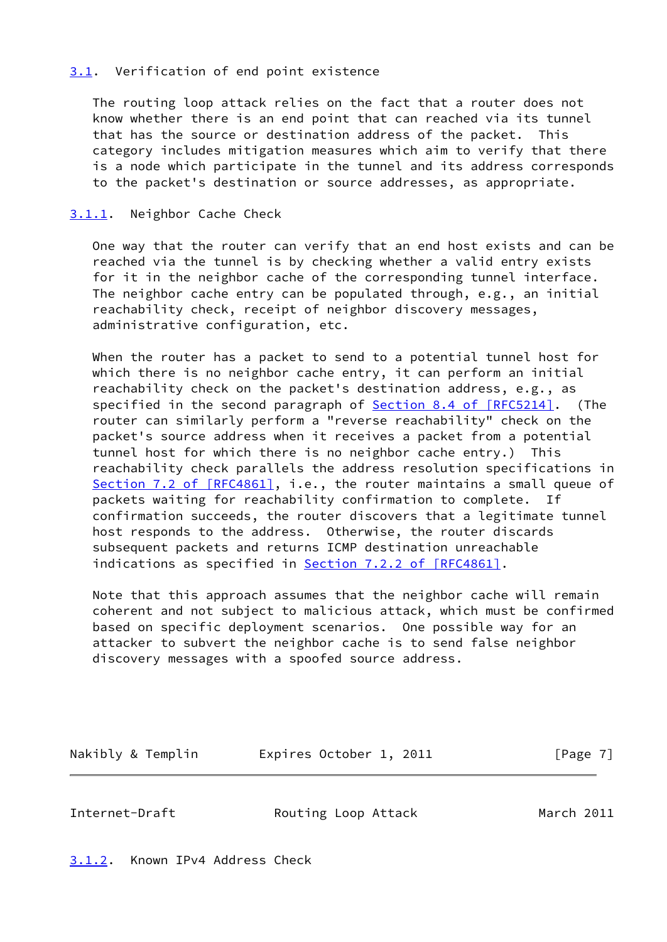### <span id="page-7-0"></span>[3.1](#page-7-0). Verification of end point existence

 The routing loop attack relies on the fact that a router does not know whether there is an end point that can reached via its tunnel that has the source or destination address of the packet. This category includes mitigation measures which aim to verify that there is a node which participate in the tunnel and its address corresponds to the packet's destination or source addresses, as appropriate.

### <span id="page-7-1"></span>[3.1.1](#page-7-1). Neighbor Cache Check

 One way that the router can verify that an end host exists and can be reached via the tunnel is by checking whether a valid entry exists for it in the neighbor cache of the corresponding tunnel interface. The neighbor cache entry can be populated through, e.g., an initial reachability check, receipt of neighbor discovery messages, administrative configuration, etc.

 When the router has a packet to send to a potential tunnel host for which there is no neighbor cache entry, it can perform an initial reachability check on the packet's destination address, e.g., as specified in the second paragraph of Section [8.4 of \[RFC5214\]](https://datatracker.ietf.org/doc/pdf/rfc5214#section-8.4). (The router can similarly perform a "reverse reachability" check on the packet's source address when it receives a packet from a potential tunnel host for which there is no neighbor cache entry.) This reachability check parallels the address resolution specifications in Section [7.2 of \[RFC4861\]](https://datatracker.ietf.org/doc/pdf/rfc4861#section-7.2), i.e., the router maintains a small queue of packets waiting for reachability confirmation to complete. If confirmation succeeds, the router discovers that a legitimate tunnel host responds to the address. Otherwise, the router discards subsequent packets and returns ICMP destination unreachable indications as specified in **Section 7.2.2 of [RFC4861]**.

 Note that this approach assumes that the neighbor cache will remain coherent and not subject to malicious attack, which must be confirmed based on specific deployment scenarios. One possible way for an attacker to subvert the neighbor cache is to send false neighbor discovery messages with a spoofed source address.

Nakibly & Templin Expires October 1, 2011 [Page 7]

<span id="page-7-3"></span>Internet-Draft Routing Loop Attack March 2011

<span id="page-7-2"></span>[3.1.2](#page-7-2). Known IPv4 Address Check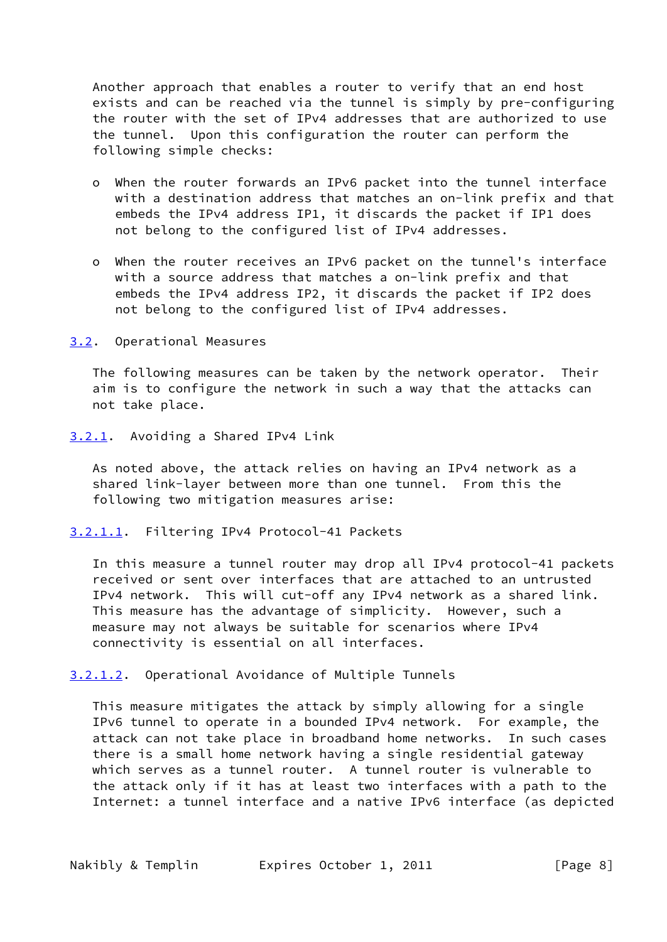Another approach that enables a router to verify that an end host exists and can be reached via the tunnel is simply by pre-configuring the router with the set of IPv4 addresses that are authorized to use the tunnel. Upon this configuration the router can perform the following simple checks:

- o When the router forwards an IPv6 packet into the tunnel interface with a destination address that matches an on-link prefix and that embeds the IPv4 address IP1, it discards the packet if IP1 does not belong to the configured list of IPv4 addresses.
- o When the router receives an IPv6 packet on the tunnel's interface with a source address that matches a on-link prefix and that embeds the IPv4 address IP2, it discards the packet if IP2 does not belong to the configured list of IPv4 addresses.

<span id="page-8-0"></span>[3.2](#page-8-0). Operational Measures

 The following measures can be taken by the network operator. Their aim is to configure the network in such a way that the attacks can not take place.

<span id="page-8-1"></span>[3.2.1](#page-8-1). Avoiding a Shared IPv4 Link

 As noted above, the attack relies on having an IPv4 network as a shared link-layer between more than one tunnel. From this the following two mitigation measures arise:

<span id="page-8-2"></span>[3.2.1.1](#page-8-2). Filtering IPv4 Protocol-41 Packets

 In this measure a tunnel router may drop all IPv4 protocol-41 packets received or sent over interfaces that are attached to an untrusted IPv4 network. This will cut-off any IPv4 network as a shared link. This measure has the advantage of simplicity. However, such a measure may not always be suitable for scenarios where IPv4 connectivity is essential on all interfaces.

<span id="page-8-3"></span>[3.2.1.2](#page-8-3). Operational Avoidance of Multiple Tunnels

 This measure mitigates the attack by simply allowing for a single IPv6 tunnel to operate in a bounded IPv4 network. For example, the attack can not take place in broadband home networks. In such cases there is a small home network having a single residential gateway which serves as a tunnel router. A tunnel router is vulnerable to the attack only if it has at least two interfaces with a path to the Internet: a tunnel interface and a native IPv6 interface (as depicted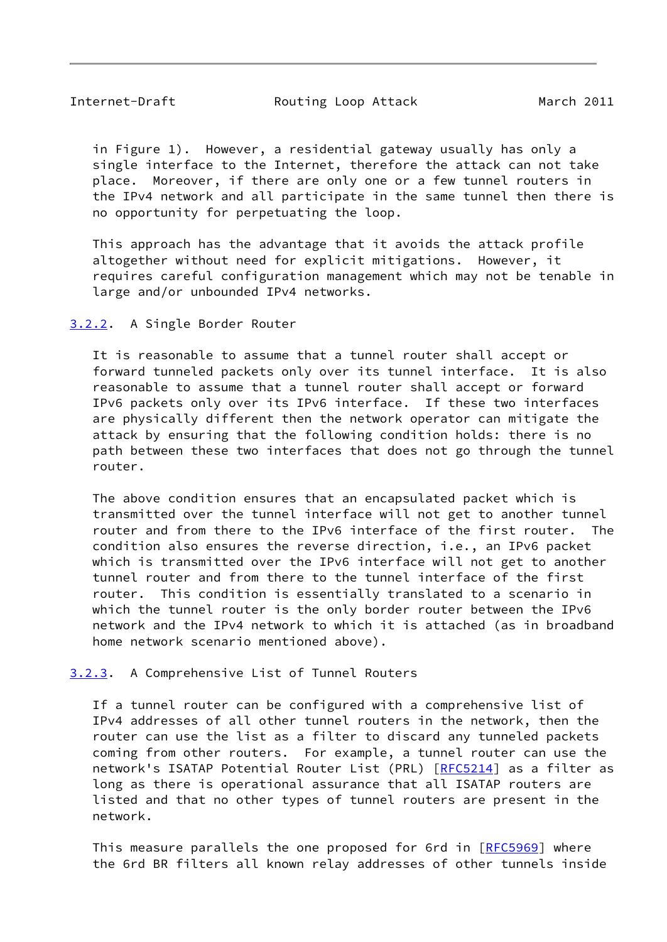<span id="page-9-1"></span>Internet-Draft **Routing Loop Attack** March 2011

 in Figure 1). However, a residential gateway usually has only a single interface to the Internet, therefore the attack can not take place. Moreover, if there are only one or a few tunnel routers in the IPv4 network and all participate in the same tunnel then there is no opportunity for perpetuating the loop.

 This approach has the advantage that it avoids the attack profile altogether without need for explicit mitigations. However, it requires careful configuration management which may not be tenable in large and/or unbounded IPv4 networks.

### <span id="page-9-0"></span>[3.2.2](#page-9-0). A Single Border Router

 It is reasonable to assume that a tunnel router shall accept or forward tunneled packets only over its tunnel interface. It is also reasonable to assume that a tunnel router shall accept or forward IPv6 packets only over its IPv6 interface. If these two interfaces are physically different then the network operator can mitigate the attack by ensuring that the following condition holds: there is no path between these two interfaces that does not go through the tunnel router.

 The above condition ensures that an encapsulated packet which is transmitted over the tunnel interface will not get to another tunnel router and from there to the IPv6 interface of the first router. The condition also ensures the reverse direction, i.e., an IPv6 packet which is transmitted over the IPv6 interface will not get to another tunnel router and from there to the tunnel interface of the first router. This condition is essentially translated to a scenario in which the tunnel router is the only border router between the IPv6 network and the IPv4 network to which it is attached (as in broadband home network scenario mentioned above).

<span id="page-9-2"></span>[3.2.3](#page-9-2). A Comprehensive List of Tunnel Routers

 If a tunnel router can be configured with a comprehensive list of IPv4 addresses of all other tunnel routers in the network, then the router can use the list as a filter to discard any tunneled packets coming from other routers. For example, a tunnel router can use the network's ISATAP Potential Router List (PRL) [\[RFC5214](https://datatracker.ietf.org/doc/pdf/rfc5214)] as a filter as long as there is operational assurance that all ISATAP routers are listed and that no other types of tunnel routers are present in the network.

This measure parallels the one proposed for 6rd in [[RFC5969\]](https://datatracker.ietf.org/doc/pdf/rfc5969) where the 6rd BR filters all known relay addresses of other tunnels inside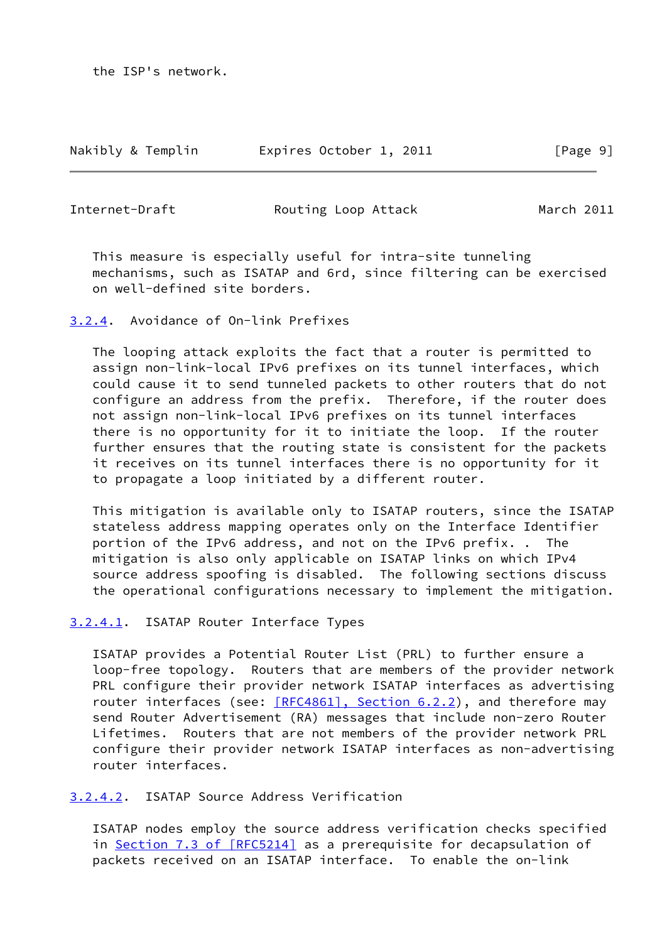Nakibly & Templin Expires October 1, 2011 [Page 9]

<span id="page-10-1"></span>

Internet-Draft **Routing Loop Attack** March 2011

 This measure is especially useful for intra-site tunneling mechanisms, such as ISATAP and 6rd, since filtering can be exercised on well-defined site borders.

<span id="page-10-0"></span>[3.2.4](#page-10-0). Avoidance of On-link Prefixes

 The looping attack exploits the fact that a router is permitted to assign non-link-local IPv6 prefixes on its tunnel interfaces, which could cause it to send tunneled packets to other routers that do not configure an address from the prefix. Therefore, if the router does not assign non-link-local IPv6 prefixes on its tunnel interfaces there is no opportunity for it to initiate the loop. If the router further ensures that the routing state is consistent for the packets it receives on its tunnel interfaces there is no opportunity for it to propagate a loop initiated by a different router.

 This mitigation is available only to ISATAP routers, since the ISATAP stateless address mapping operates only on the Interface Identifier portion of the IPv6 address, and not on the IPv6 prefix. . The mitigation is also only applicable on ISATAP links on which IPv4 source address spoofing is disabled. The following sections discuss the operational configurations necessary to implement the mitigation.

<span id="page-10-2"></span>[3.2.4.1](#page-10-2). ISATAP Router Interface Types

 ISATAP provides a Potential Router List (PRL) to further ensure a loop-free topology. Routers that are members of the provider network PRL configure their provider network ISATAP interfaces as advertising router interfaces (see: [\[RFC4861\], Section](https://datatracker.ietf.org/doc/pdf/rfc4861#section-6.2.2) 6.2.2), and therefore may send Router Advertisement (RA) messages that include non-zero Router Lifetimes. Routers that are not members of the provider network PRL configure their provider network ISATAP interfaces as non-advertising router interfaces.

<span id="page-10-3"></span>[3.2.4.2](#page-10-3). ISATAP Source Address Verification

 ISATAP nodes employ the source address verification checks specified in Section [7.3 of \[RFC5214\]](https://datatracker.ietf.org/doc/pdf/rfc5214#section-7.3) as a prerequisite for decapsulation of packets received on an ISATAP interface. To enable the on-link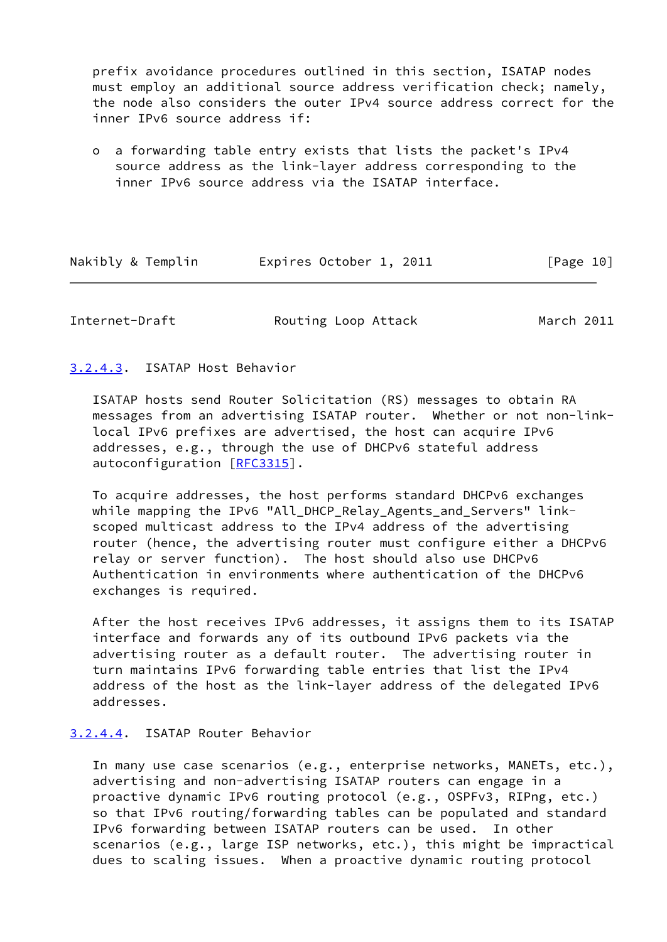prefix avoidance procedures outlined in this section, ISATAP nodes must employ an additional source address verification check; namely, the node also considers the outer IPv4 source address correct for the inner IPv6 source address if:

 o a forwarding table entry exists that lists the packet's IPv4 source address as the link-layer address corresponding to the inner IPv6 source address via the ISATAP interface.

| Nakibly & Templin | Expires October 1, 2011 | [Page 10] |
|-------------------|-------------------------|-----------|
|-------------------|-------------------------|-----------|

Internet-Draft **Routing Loop Attack** March 2011

### <span id="page-11-0"></span>[3.2.4.3](#page-11-0). ISATAP Host Behavior

 ISATAP hosts send Router Solicitation (RS) messages to obtain RA messages from an advertising ISATAP router. Whether or not non-link local IPv6 prefixes are advertised, the host can acquire IPv6 addresses, e.g., through the use of DHCPv6 stateful address autoconfiguration [[RFC3315](https://datatracker.ietf.org/doc/pdf/rfc3315)].

 To acquire addresses, the host performs standard DHCPv6 exchanges while mapping the IPv6 "All\_DHCP\_Relay\_Agents\_and\_Servers" link scoped multicast address to the IPv4 address of the advertising router (hence, the advertising router must configure either a DHCPv6 relay or server function). The host should also use DHCPv6 Authentication in environments where authentication of the DHCPv6 exchanges is required.

 After the host receives IPv6 addresses, it assigns them to its ISATAP interface and forwards any of its outbound IPv6 packets via the advertising router as a default router. The advertising router in turn maintains IPv6 forwarding table entries that list the IPv4 address of the host as the link-layer address of the delegated IPv6 addresses.

### <span id="page-11-1"></span>[3.2.4.4](#page-11-1). ISATAP Router Behavior

 In many use case scenarios (e.g., enterprise networks, MANETs, etc.), advertising and non-advertising ISATAP routers can engage in a proactive dynamic IPv6 routing protocol (e.g., OSPFv3, RIPng, etc.) so that IPv6 routing/forwarding tables can be populated and standard IPv6 forwarding between ISATAP routers can be used. In other scenarios (e.g., large ISP networks, etc.), this might be impractical dues to scaling issues. When a proactive dynamic routing protocol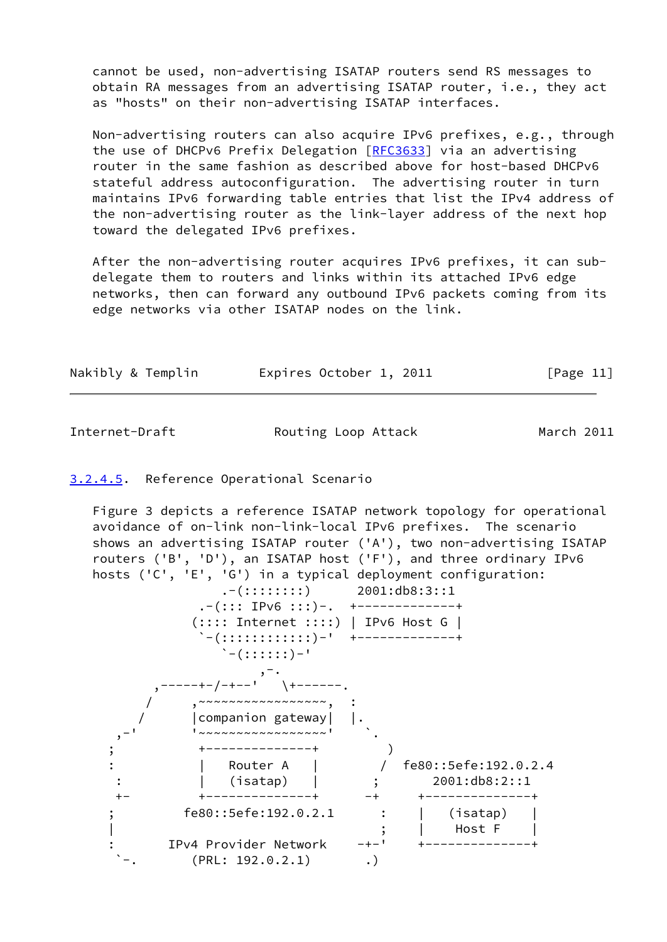cannot be used, non-advertising ISATAP routers send RS messages to obtain RA messages from an advertising ISATAP router, i.e., they act as "hosts" on their non-advertising ISATAP interfaces.

 Non-advertising routers can also acquire IPv6 prefixes, e.g., through the use of DHCPv6 Prefix Delegation [\[RFC3633](https://datatracker.ietf.org/doc/pdf/rfc3633)] via an advertising router in the same fashion as described above for host-based DHCPv6 stateful address autoconfiguration. The advertising router in turn maintains IPv6 forwarding table entries that list the IPv4 address of the non-advertising router as the link-layer address of the next hop toward the delegated IPv6 prefixes.

 After the non-advertising router acquires IPv6 prefixes, it can sub delegate them to routers and links within its attached IPv6 edge networks, then can forward any outbound IPv6 packets coming from its edge networks via other ISATAP nodes on the link.

| Nakibly & Templin | Expires October 1, 2011 | [Page 11] |
|-------------------|-------------------------|-----------|
|-------------------|-------------------------|-----------|

Internet-Draft **Routing Loop Attack** March 2011

# <span id="page-12-0"></span>[3.2.4.5](#page-12-0). Reference Operational Scenario

 Figure 3 depicts a reference ISATAP network topology for operational avoidance of on-link non-link-local IPv6 prefixes. The scenario shows an advertising ISATAP router ('A'), two non-advertising ISATAP routers ('B', 'D'), an ISATAP host ('F'), and three ordinary IPv6 hosts ('C', 'E', 'G') in a typical deployment configuration:

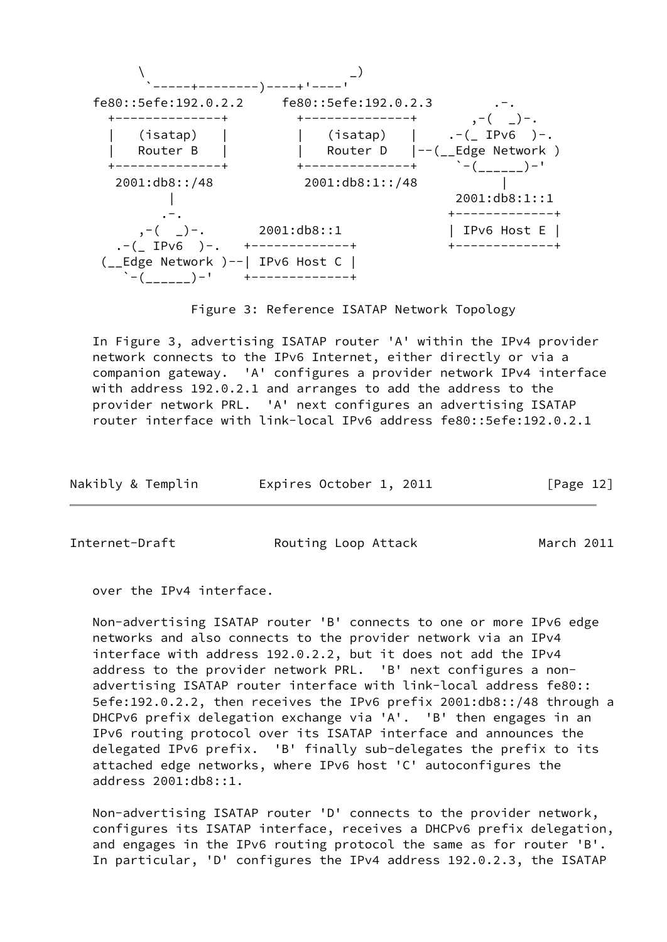

Figure 3: Reference ISATAP Network Topology

 In Figure 3, advertising ISATAP router 'A' within the IPv4 provider network connects to the IPv6 Internet, either directly or via a companion gateway. 'A' configures a provider network IPv4 interface with address 192.0.2.1 and arranges to add the address to the provider network PRL. 'A' next configures an advertising ISATAP router interface with link-local IPv6 address fe80::5efe:192.0.2.1

| Nakibly & Templin | Expires October 1, 2011 | [Page 12] |
|-------------------|-------------------------|-----------|
|-------------------|-------------------------|-----------|

Internet-Draft **Routing Loop Attack** March 2011

over the IPv4 interface.

 Non-advertising ISATAP router 'B' connects to one or more IPv6 edge networks and also connects to the provider network via an IPv4 interface with address 192.0.2.2, but it does not add the IPv4 address to the provider network PRL. 'B' next configures a non advertising ISATAP router interface with link-local address fe80:: 5efe:192.0.2.2, then receives the IPv6 prefix 2001:db8::/48 through a DHCPv6 prefix delegation exchange via 'A'. 'B' then engages in an IPv6 routing protocol over its ISATAP interface and announces the delegated IPv6 prefix. 'B' finally sub-delegates the prefix to its attached edge networks, where IPv6 host 'C' autoconfigures the address 2001:db8::1.

 Non-advertising ISATAP router 'D' connects to the provider network, configures its ISATAP interface, receives a DHCPv6 prefix delegation, and engages in the IPv6 routing protocol the same as for router 'B'. In particular, 'D' configures the IPv4 address 192.0.2.3, the ISATAP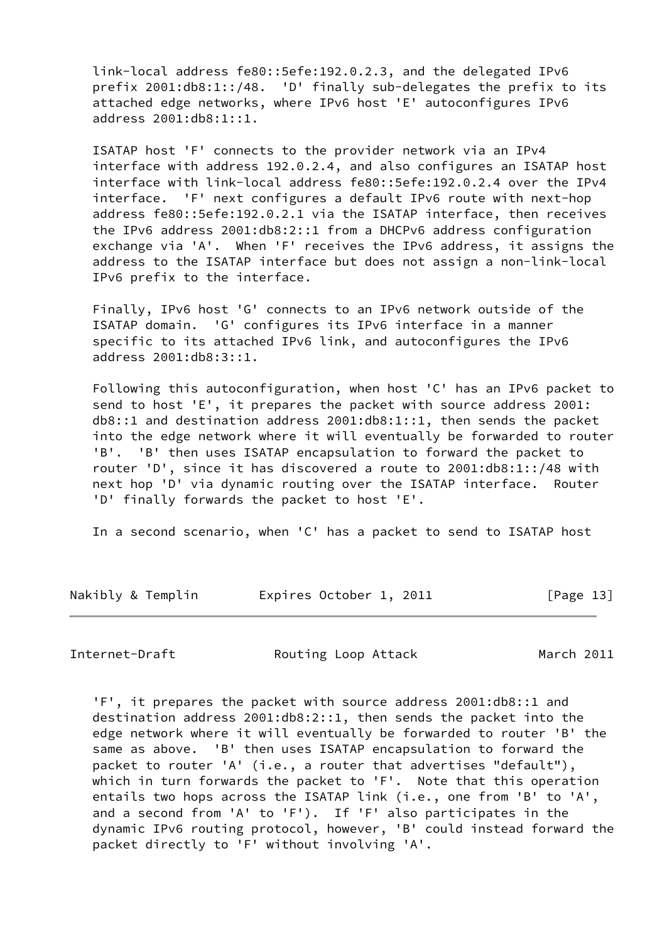link-local address fe80::5efe:192.0.2.3, and the delegated IPv6 prefix 2001:db8:1::/48. 'D' finally sub-delegates the prefix to its attached edge networks, where IPv6 host 'E' autoconfigures IPv6 address 2001:db8:1::1.

 ISATAP host 'F' connects to the provider network via an IPv4 interface with address 192.0.2.4, and also configures an ISATAP host interface with link-local address fe80::5efe:192.0.2.4 over the IPv4 interface. 'F' next configures a default IPv6 route with next-hop address fe80::5efe:192.0.2.1 via the ISATAP interface, then receives the IPv6 address 2001:db8:2::1 from a DHCPv6 address configuration exchange via 'A'. When 'F' receives the IPv6 address, it assigns the address to the ISATAP interface but does not assign a non-link-local IPv6 prefix to the interface.

 Finally, IPv6 host 'G' connects to an IPv6 network outside of the ISATAP domain. 'G' configures its IPv6 interface in a manner specific to its attached IPv6 link, and autoconfigures the IPv6 address 2001:db8:3::1.

 Following this autoconfiguration, when host 'C' has an IPv6 packet to send to host 'E', it prepares the packet with source address 2001: db8::1 and destination address 2001:db8:1::1, then sends the packet into the edge network where it will eventually be forwarded to router 'B'. 'B' then uses ISATAP encapsulation to forward the packet to router 'D', since it has discovered a route to 2001:db8:1::/48 with next hop 'D' via dynamic routing over the ISATAP interface. Router 'D' finally forwards the packet to host 'E'.

In a second scenario, when 'C' has a packet to send to ISATAP host

| Nakibly & Templin | Expires October 1, 2011 | [Page 13] |
|-------------------|-------------------------|-----------|
|-------------------|-------------------------|-----------|

Internet-Draft **Routing Loop Attack** March 2011

 'F', it prepares the packet with source address 2001:db8::1 and destination address 2001:db8:2::1, then sends the packet into the edge network where it will eventually be forwarded to router 'B' the same as above. 'B' then uses ISATAP encapsulation to forward the packet to router 'A' (i.e., a router that advertises "default"), which in turn forwards the packet to 'F'. Note that this operation entails two hops across the ISATAP link (i.e., one from 'B' to 'A', and a second from 'A' to 'F'). If 'F' also participates in the dynamic IPv6 routing protocol, however, 'B' could instead forward the packet directly to 'F' without involving 'A'.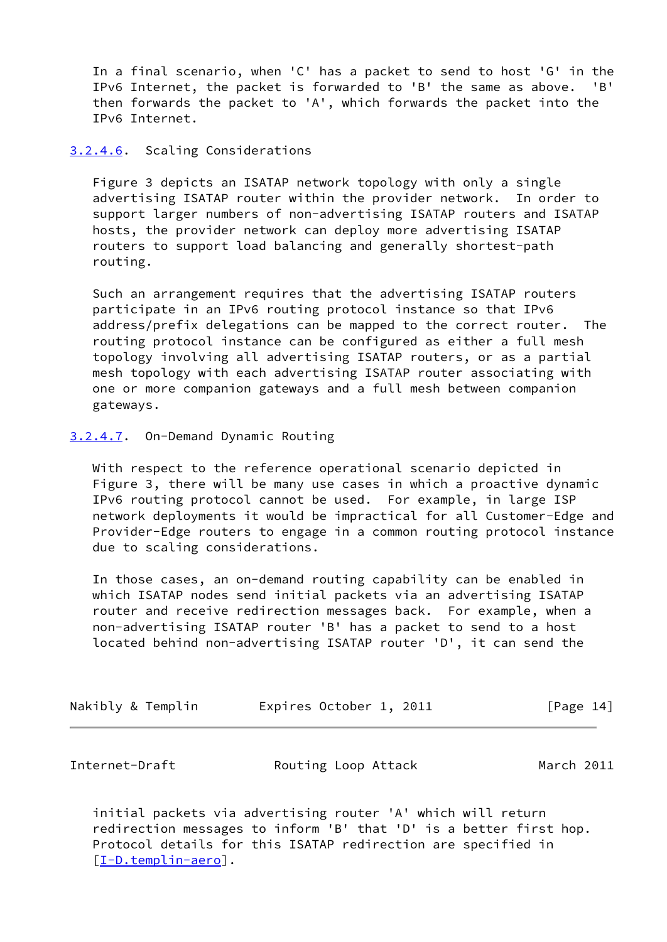In a final scenario, when 'C' has a packet to send to host 'G' in the IPv6 Internet, the packet is forwarded to 'B' the same as above. 'B' then forwards the packet to 'A', which forwards the packet into the IPv6 Internet.

### <span id="page-15-1"></span>[3.2.4.6](#page-15-1). Scaling Considerations

 Figure 3 depicts an ISATAP network topology with only a single advertising ISATAP router within the provider network. In order to support larger numbers of non-advertising ISATAP routers and ISATAP hosts, the provider network can deploy more advertising ISATAP routers to support load balancing and generally shortest-path routing.

 Such an arrangement requires that the advertising ISATAP routers participate in an IPv6 routing protocol instance so that IPv6 address/prefix delegations can be mapped to the correct router. The routing protocol instance can be configured as either a full mesh topology involving all advertising ISATAP routers, or as a partial mesh topology with each advertising ISATAP router associating with one or more companion gateways and a full mesh between companion gateways.

#### <span id="page-15-2"></span>[3.2.4.7](#page-15-2). On-Demand Dynamic Routing

 With respect to the reference operational scenario depicted in Figure 3, there will be many use cases in which a proactive dynamic IPv6 routing protocol cannot be used. For example, in large ISP network deployments it would be impractical for all Customer-Edge and Provider-Edge routers to engage in a common routing protocol instance due to scaling considerations.

 In those cases, an on-demand routing capability can be enabled in which ISATAP nodes send initial packets via an advertising ISATAP router and receive redirection messages back. For example, when a non-advertising ISATAP router 'B' has a packet to send to a host located behind non-advertising ISATAP router 'D', it can send the

| Nakibly & Templin | Expires October 1, 2011 | [Page 14] |
|-------------------|-------------------------|-----------|
|-------------------|-------------------------|-----------|

<span id="page-15-0"></span>Internet-Draft **Routing Loop Attack** March 2011

 initial packets via advertising router 'A' which will return redirection messages to inform 'B' that 'D' is a better first hop. Protocol details for this ISATAP redirection are specified in [\[I-D.templin-aero](#page-20-4)].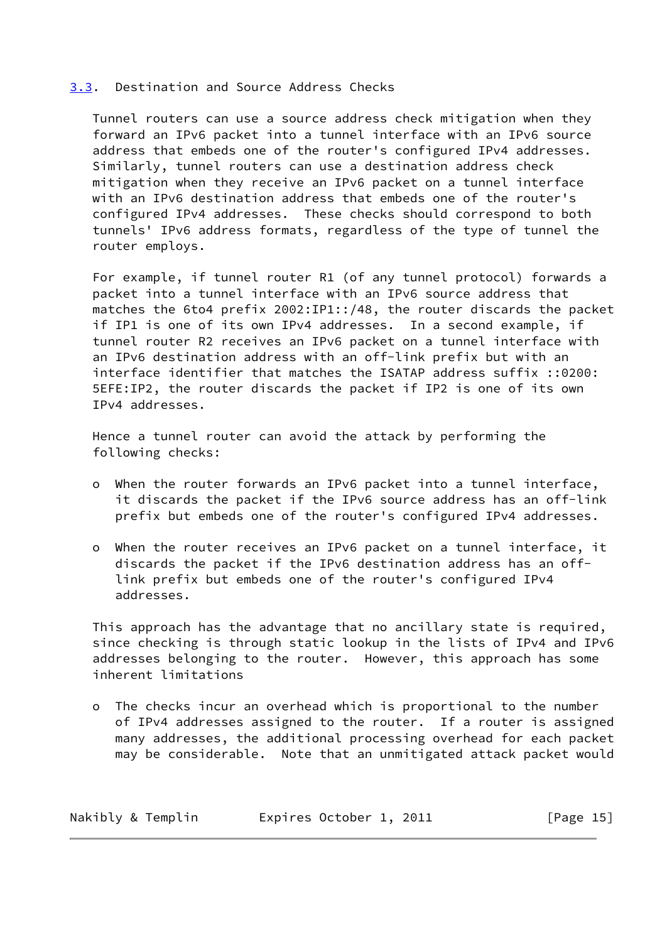#### <span id="page-16-0"></span>[3.3](#page-16-0). Destination and Source Address Checks

 Tunnel routers can use a source address check mitigation when they forward an IPv6 packet into a tunnel interface with an IPv6 source address that embeds one of the router's configured IPv4 addresses. Similarly, tunnel routers can use a destination address check mitigation when they receive an IPv6 packet on a tunnel interface with an IPv6 destination address that embeds one of the router's configured IPv4 addresses. These checks should correspond to both tunnels' IPv6 address formats, regardless of the type of tunnel the router employs.

 For example, if tunnel router R1 (of any tunnel protocol) forwards a packet into a tunnel interface with an IPv6 source address that matches the 6to4 prefix 2002:IP1::/48, the router discards the packet if IP1 is one of its own IPv4 addresses. In a second example, if tunnel router R2 receives an IPv6 packet on a tunnel interface with an IPv6 destination address with an off-link prefix but with an interface identifier that matches the ISATAP address suffix ::0200: 5EFE:IP2, the router discards the packet if IP2 is one of its own IPv4 addresses.

 Hence a tunnel router can avoid the attack by performing the following checks:

- o When the router forwards an IPv6 packet into a tunnel interface, it discards the packet if the IPv6 source address has an off-link prefix but embeds one of the router's configured IPv4 addresses.
- o When the router receives an IPv6 packet on a tunnel interface, it discards the packet if the IPv6 destination address has an off link prefix but embeds one of the router's configured IPv4 addresses.

 This approach has the advantage that no ancillary state is required, since checking is through static lookup in the lists of IPv4 and IPv6 addresses belonging to the router. However, this approach has some inherent limitations

 o The checks incur an overhead which is proportional to the number of IPv4 addresses assigned to the router. If a router is assigned many addresses, the additional processing overhead for each packet may be considerable. Note that an unmitigated attack packet would

| Nakibly & Templin | Expires October 1, 2011 | [Page $15$ ] |
|-------------------|-------------------------|--------------|
|-------------------|-------------------------|--------------|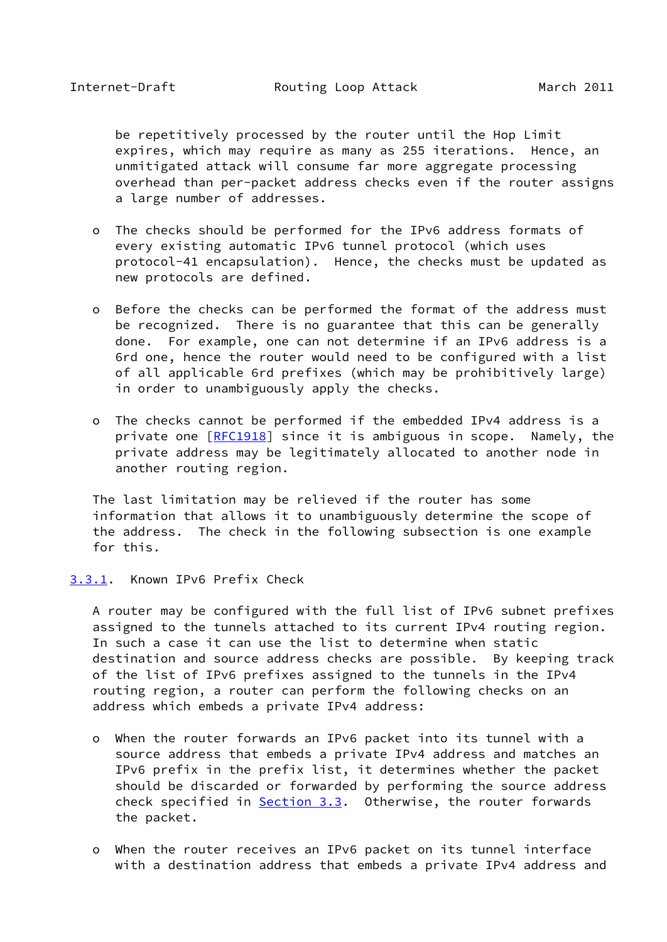<span id="page-17-1"></span> be repetitively processed by the router until the Hop Limit expires, which may require as many as 255 iterations. Hence, an unmitigated attack will consume far more aggregate processing overhead than per-packet address checks even if the router assigns a large number of addresses.

- o The checks should be performed for the IPv6 address formats of every existing automatic IPv6 tunnel protocol (which uses protocol-41 encapsulation). Hence, the checks must be updated as new protocols are defined.
- o Before the checks can be performed the format of the address must be recognized. There is no guarantee that this can be generally done. For example, one can not determine if an IPv6 address is a 6rd one, hence the router would need to be configured with a list of all applicable 6rd prefixes (which may be prohibitively large) in order to unambiguously apply the checks.
- o The checks cannot be performed if the embedded IPv4 address is a private one [\[RFC1918](https://datatracker.ietf.org/doc/pdf/rfc1918)] since it is ambiguous in scope. Namely, the private address may be legitimately allocated to another node in another routing region.

 The last limitation may be relieved if the router has some information that allows it to unambiguously determine the scope of the address. The check in the following subsection is one example for this.

#### <span id="page-17-0"></span>[3.3.1](#page-17-0). Known IPv6 Prefix Check

 A router may be configured with the full list of IPv6 subnet prefixes assigned to the tunnels attached to its current IPv4 routing region. In such a case it can use the list to determine when static destination and source address checks are possible. By keeping track of the list of IPv6 prefixes assigned to the tunnels in the IPv4 routing region, a router can perform the following checks on an address which embeds a private IPv4 address:

- o When the router forwards an IPv6 packet into its tunnel with a source address that embeds a private IPv4 address and matches an IPv6 prefix in the prefix list, it determines whether the packet should be discarded or forwarded by performing the source address check specified in **Section 3.3**. Otherwise, the router forwards the packet.
- o When the router receives an IPv6 packet on its tunnel interface with a destination address that embeds a private IPv4 address and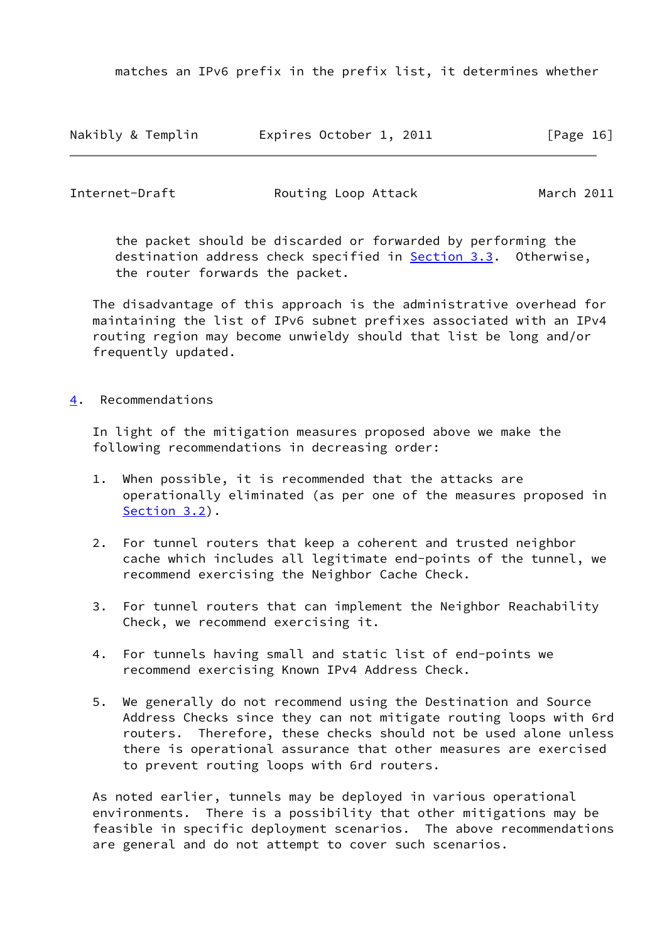matches an IPv6 prefix in the prefix list, it determines whether

| Nakibly & Templin | Expires October 1, 2011 | [Page 16] |
|-------------------|-------------------------|-----------|
|-------------------|-------------------------|-----------|

<span id="page-18-1"></span>

| Internet-Draft | Routing Loop Attack | March 2011 |
|----------------|---------------------|------------|
|                |                     |            |

 the packet should be discarded or forwarded by performing the destination address check specified in **Section 3.3.** Otherwise, the router forwards the packet.

 The disadvantage of this approach is the administrative overhead for maintaining the list of IPv6 subnet prefixes associated with an IPv4 routing region may become unwieldy should that list be long and/or frequently updated.

### <span id="page-18-0"></span>[4](#page-18-0). Recommendations

 In light of the mitigation measures proposed above we make the following recommendations in decreasing order:

- 1. When possible, it is recommended that the attacks are operationally eliminated (as per one of the measures proposed in [Section 3.2\)](#page-8-0).
- 2. For tunnel routers that keep a coherent and trusted neighbor cache which includes all legitimate end-points of the tunnel, we recommend exercising the Neighbor Cache Check.
- 3. For tunnel routers that can implement the Neighbor Reachability Check, we recommend exercising it.
- 4. For tunnels having small and static list of end-points we recommend exercising Known IPv4 Address Check.
- 5. We generally do not recommend using the Destination and Source Address Checks since they can not mitigate routing loops with 6rd routers. Therefore, these checks should not be used alone unless there is operational assurance that other measures are exercised to prevent routing loops with 6rd routers.

 As noted earlier, tunnels may be deployed in various operational environments. There is a possibility that other mitigations may be feasible in specific deployment scenarios. The above recommendations are general and do not attempt to cover such scenarios.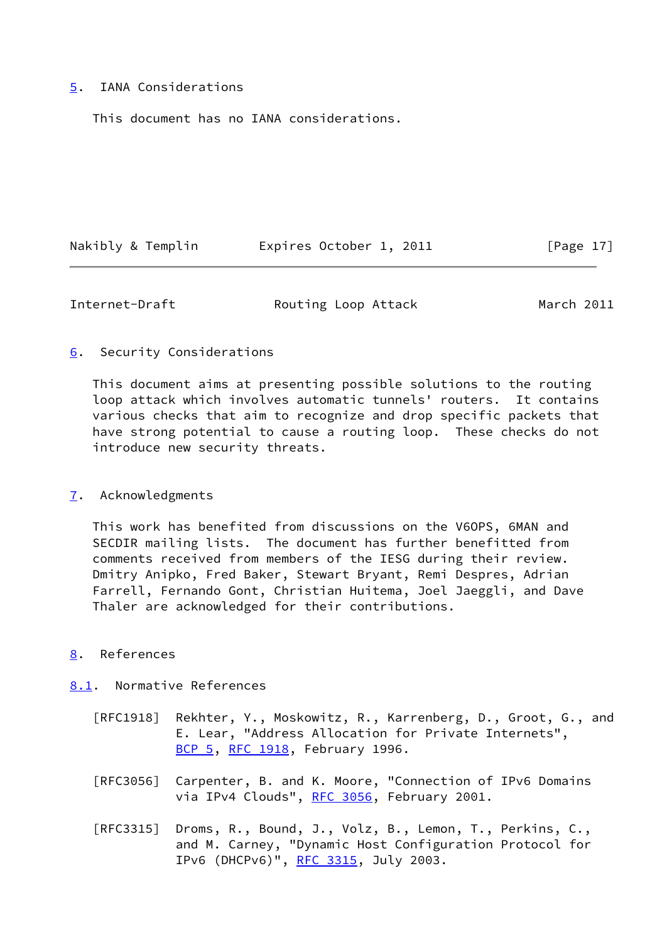### <span id="page-19-0"></span>[5](#page-19-0). IANA Considerations

This document has no IANA considerations.

| Nakibly & Templin | Expires October 1, 2011 | [Page 17] |
|-------------------|-------------------------|-----------|
|                   |                         |           |

<span id="page-19-2"></span>Internet-Draft **Routing Loop Attack** March 2011

### <span id="page-19-1"></span>[6](#page-19-1). Security Considerations

 This document aims at presenting possible solutions to the routing loop attack which involves automatic tunnels' routers. It contains various checks that aim to recognize and drop specific packets that have strong potential to cause a routing loop. These checks do not introduce new security threats.

### <span id="page-19-3"></span>[7](#page-19-3). Acknowledgments

 This work has benefited from discussions on the V6OPS, 6MAN and SECDIR mailing lists. The document has further benefitted from comments received from members of the IESG during their review. Dmitry Anipko, Fred Baker, Stewart Bryant, Remi Despres, Adrian Farrell, Fernando Gont, Christian Huitema, Joel Jaeggli, and Dave Thaler are acknowledged for their contributions.

<span id="page-19-4"></span>[8](#page-19-4). References

# <span id="page-19-5"></span>[8.1](#page-19-5). Normative References

- [RFC1918] Rekhter, Y., Moskowitz, R., Karrenberg, D., Groot, G., and E. Lear, "Address Allocation for Private Internets", [BCP 5,](https://datatracker.ietf.org/doc/pdf/bcp5) [RFC 1918](https://datatracker.ietf.org/doc/pdf/rfc1918), February 1996.
- [RFC3056] Carpenter, B. and K. Moore, "Connection of IPv6 Domains via IPv4 Clouds", [RFC 3056](https://datatracker.ietf.org/doc/pdf/rfc3056), February 2001.
- [RFC3315] Droms, R., Bound, J., Volz, B., Lemon, T., Perkins, C., and M. Carney, "Dynamic Host Configuration Protocol for IPv6 (DHCPv6)", [RFC 3315,](https://datatracker.ietf.org/doc/pdf/rfc3315) July 2003.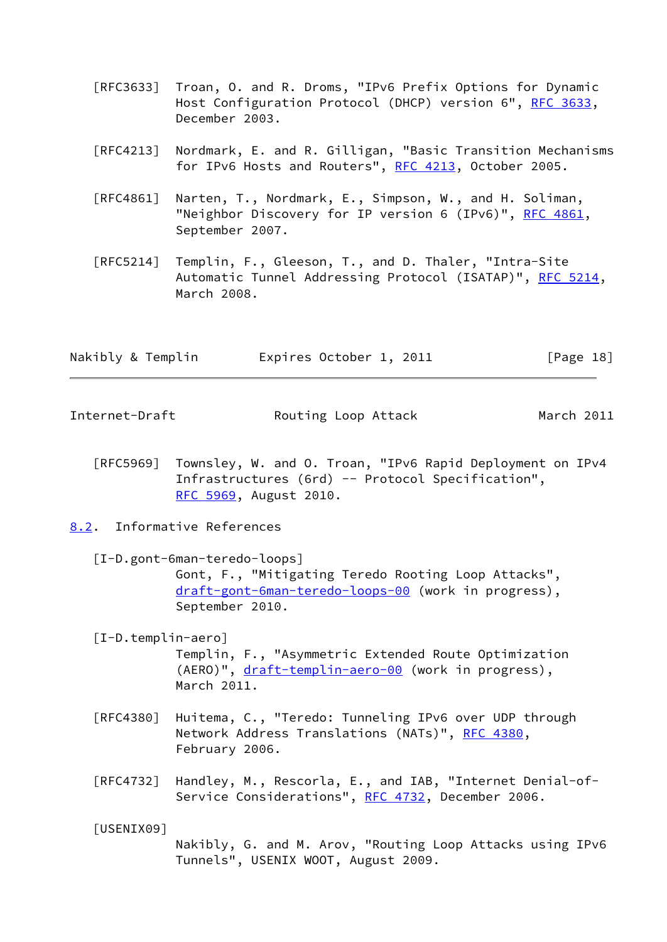- [RFC3633] Troan, O. and R. Droms, "IPv6 Prefix Options for Dynamic Host Configuration Protocol (DHCP) version 6", [RFC 3633](https://datatracker.ietf.org/doc/pdf/rfc3633), December 2003.
- [RFC4213] Nordmark, E. and R. Gilligan, "Basic Transition Mechanisms for IPv6 Hosts and Routers", [RFC 4213](https://datatracker.ietf.org/doc/pdf/rfc4213), October 2005.
- [RFC4861] Narten, T., Nordmark, E., Simpson, W., and H. Soliman, "Neighbor Discovery for IP version 6 (IPv6)", [RFC 4861](https://datatracker.ietf.org/doc/pdf/rfc4861), September 2007.
- [RFC5214] Templin, F., Gleeson, T., and D. Thaler, "Intra-Site Automatic Tunnel Addressing Protocol (ISATAP)", [RFC 5214,](https://datatracker.ietf.org/doc/pdf/rfc5214) March 2008.

| Nakibly & Templin | Expires October 1, 2011 | [Page 18] |
|-------------------|-------------------------|-----------|
|-------------------|-------------------------|-----------|

<span id="page-20-1"></span>Internet-Draft **Routing Loop Attack** March 2011

 [RFC5969] Townsley, W. and O. Troan, "IPv6 Rapid Deployment on IPv4 Infrastructures (6rd) -- Protocol Specification", [RFC 5969,](https://datatracker.ietf.org/doc/pdf/rfc5969) August 2010.

#### <span id="page-20-0"></span>[8.2](#page-20-0). Informative References

<span id="page-20-3"></span> [I-D.gont-6man-teredo-loops] Gont, F., "Mitigating Teredo Rooting Loop Attacks", [draft-gont-6man-teredo-loops-00](https://datatracker.ietf.org/doc/pdf/draft-gont-6man-teredo-loops-00) (work in progress), September 2010.

#### <span id="page-20-4"></span>[I-D.templin-aero]

 Templin, F., "Asymmetric Extended Route Optimization (AERO)", [draft-templin-aero-00](https://datatracker.ietf.org/doc/pdf/draft-templin-aero-00) (work in progress), March 2011.

- [RFC4380] Huitema, C., "Teredo: Tunneling IPv6 over UDP through Network Address Translations (NATs)", [RFC 4380](https://datatracker.ietf.org/doc/pdf/rfc4380), February 2006.
- [RFC4732] Handley, M., Rescorla, E., and IAB, "Internet Denial-of- Service Considerations", [RFC 4732,](https://datatracker.ietf.org/doc/pdf/rfc4732) December 2006.

<span id="page-20-2"></span>[USENIX09]

 Nakibly, G. and M. Arov, "Routing Loop Attacks using IPv6 Tunnels", USENIX WOOT, August 2009.